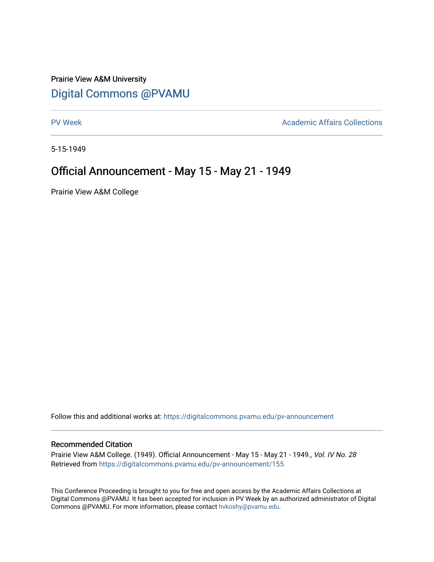## Prairie View A&M University [Digital Commons @PVAMU](https://digitalcommons.pvamu.edu/)

[PV Week](https://digitalcommons.pvamu.edu/pv-announcement) **Academic Affairs Collections** 

5-15-1949

## Official Announcement - May 15 - May 21 - 1949

Prairie View A&M College

Follow this and additional works at: [https://digitalcommons.pvamu.edu/pv-announcement](https://digitalcommons.pvamu.edu/pv-announcement?utm_source=digitalcommons.pvamu.edu%2Fpv-announcement%2F155&utm_medium=PDF&utm_campaign=PDFCoverPages) 

## Recommended Citation

Prairie View A&M College. (1949). Official Announcement - May 15 - May 21 - 1949., Vol. IV No. 28 Retrieved from [https://digitalcommons.pvamu.edu/pv-announcement/155](https://digitalcommons.pvamu.edu/pv-announcement/155?utm_source=digitalcommons.pvamu.edu%2Fpv-announcement%2F155&utm_medium=PDF&utm_campaign=PDFCoverPages) 

This Conference Proceeding is brought to you for free and open access by the Academic Affairs Collections at Digital Commons @PVAMU. It has been accepted for inclusion in PV Week by an authorized administrator of Digital Commons @PVAMU. For more information, please contact [hvkoshy@pvamu.edu.](mailto:hvkoshy@pvamu.edu)